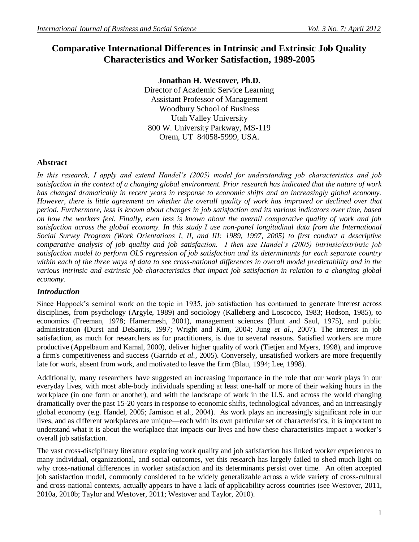## **Comparative International Differences in Intrinsic and Extrinsic Job Quality Characteristics and Worker Satisfaction, 1989-2005**

**Jonathan H. Westover, Ph.D.** Director of Academic Service Learning Assistant Professor of Management Woodbury School of Business Utah Valley University 800 W. University Parkway, MS-119 Orem, UT 84058-5999, USA.

## **Abstract**

*In this research, I apply and extend Handel's (2005) model for understanding job characteristics and job satisfaction in the context of a changing global environment. Prior research has indicated that the nature of work has changed dramatically in recent years in response to economic shifts and an increasingly global economy. However, there is little agreement on whether the overall quality of work has improved or declined over that period. Furthermore, less is known about changes in job satisfaction and its various indicators over time, based on how the workers feel. Finally, even less is known about the overall comparative quality of work and job satisfaction across the global economy. In this study I use non-panel longitudinal data from the International Social Survey Program (Work Orientations I, II, and III: 1989, 1997, 2005) to first conduct a descriptive comparative analysis of job quality and job satisfaction. I then use Handel's (2005) intrinsic/extrinsic job satisfaction model to perform OLS regression of job satisfaction and its determinants for each separate country*  within each of the three ways of data to see cross-national differences in overall model predictability and in the *various intrinsic and extrinsic job characteristics that impact job satisfaction in relation to a changing global economy.*

## *Introduction*

Since Happock's seminal work on the topic in 1935, job satisfaction has continued to generate interest across disciplines, from psychology (Argyle, 1989) and sociology (Kalleberg and Loscocco, 1983; Hodson, 1985), to economics (Freeman, 1978; Hamermesh, 2001), management sciences (Hunt and Saul, 1975), and public administration **(**Durst and DeSantis, 1997; Wright and Kim, 2004; Jung *et al.,* 2007). The interest in job satisfaction, as much for researchers as for practitioners, is due to several reasons. Satisfied workers are more productive (Appelbaum and Kamal, 2000), deliver higher quality of work (Tietjen and Myers, 1998), and improve a firm's competitiveness and success (Garrido *et al.,* 2005). Conversely, unsatisfied workers are more frequently late for work, absent from work, and motivated to leave the firm (Blau, 1994; Lee, 1998).

Additionally, many researchers have suggested an increasing importance in the role that our work plays in our everyday lives, with most able-body individuals spending at least one-half or more of their waking hours in the workplace (in one form or another), and with the landscape of work in the U.S. and across the world changing dramatically over the past 15-20 years in response to economic shifts, technological advances, and an increasingly global economy (e.g. Handel, 2005; Jamison et al., 2004). As work plays an increasingly significant role in our lives, and as different workplaces are unique—each with its own particular set of characteristics, it is important to understand what it is about the workplace that impacts our lives and how these characteristics impact a worker's overall job satisfaction.

The vast cross-disciplinary literature exploring work quality and job satisfaction has linked worker experiences to many individual, organizational, and social outcomes, yet this research has largely failed to shed much light on why cross-national differences in worker satisfaction and its determinants persist over time. An often accepted job satisfaction model, commonly considered to be widely generalizable across a wide variety of cross-cultural and cross-national contexts, actually appears to have a lack of applicability across countries (see Westover, 2011, 2010a, 2010b; Taylor and Westover, 2011; Westover and Taylor, 2010).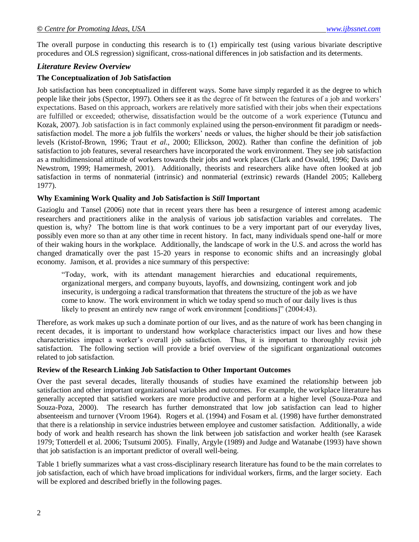The overall purpose in conducting this research is to (1) empirically test (using various bivariate descriptive procedures and OLS regression) significant, cross-national differences in job satisfaction and its determents.

## *Literature Review Overview*

## **The Conceptualization of Job Satisfaction**

Job satisfaction has been conceptualized in different ways. Some have simply regarded it as the degree to which people like their jobs (Spector, 1997). Others see it as the degree of fit between the features of a job and workers' expectations. Based on this approach, workers are relatively more satisfied with their jobs when their expectations are fulfilled or exceeded; otherwise, dissatisfaction would be the outcome of a work experience (Tutuncu and Kozak, 2007). Job satisfaction is in fact commonly explained using the person-environment fit paradigm or needssatisfaction model. The more a job fulfils the workers' needs or values, the higher should be their job satisfaction levels (Kristof-Brown, 1996; Traut *et al*., 2000; Ellickson, 2002). Rather than confine the definition of job satisfaction to job features, several researchers have incorporated the work environment. They see job satisfaction as a multidimensional attitude of workers towards their jobs and work places (Clark and Oswald, 1996; Davis and Newstrom, 1999; Hamermesh, 2001). Additionally, theorists and researchers alike have often looked at job satisfaction in terms of nonmaterial (intrinsic) and nonmaterial (extrinsic) rewards (Handel 2005; Kalleberg 1977).

## **Why Examining Work Quality and Job Satisfaction is** *Still* **Important**

Gazioglu and Tansel (2006) note that in recent years there has been a resurgence of interest among academic researchers and practitioners alike in the analysis of various job satisfaction variables and correlates. The question is, why? The bottom line is that work continues to be a very important part of our everyday lives, possibly even more so than at any other time in recent history. In fact, many individuals spend one-half or more of their waking hours in the workplace. Additionally, the landscape of work in the U.S. and across the world has changed dramatically over the past 15-20 years in response to economic shifts and an increasingly global economy. Jamison, et al. provides a nice summary of this perspective:

―Today, work, with its attendant management hierarchies and educational requirements, organizational mergers, and company buyouts, layoffs, and downsizing, contingent work and job insecurity, is undergoing a radical transformation that threatens the structure of the job as we have come to know. The work environment in which we today spend so much of our daily lives is thus likely to present an entirely new range of work environment [conditions]" (2004:43).

Therefore, as work makes up such a dominate portion of our lives, and as the nature of work has been changing in recent decades, it is important to understand how workplace characteristics impact our lives and how these characteristics impact a worker's overall job satisfaction. Thus, it is important to thoroughly revisit job satisfaction. The following section will provide a brief overview of the significant organizational outcomes related to job satisfaction.

#### **Review of the Research Linking Job Satisfaction to Other Important Outcomes**

Over the past several decades, literally thousands of studies have examined the relationship between job satisfaction and other important organizational variables and outcomes. For example, the workplace literature has generally accepted that satisfied workers are more productive and perform at a higher level (Souza-Poza and Souza-Poza, 2000). The research has further demonstrated that low job satisfaction can lead to higher absenteeism and turnover (Vroom 1964). Rogers et al. (1994) and Fosam et al. (1998) have further demonstrated that there is a relationship in service industries between employee and customer satisfaction. Additionally, a wide body of work and health research has shown the link between job satisfaction and worker health (see Karasek 1979; Totterdell et al. 2006; Tsutsumi 2005). Finally, Argyle (1989) and Judge and Watanabe (1993) have shown that job satisfaction is an important predictor of overall well-being.

Table 1 briefly summarizes what a vast cross-disciplinary research literature has found to be the main correlates to job satisfaction, each of which have broad implications for individual workers, firms, and the larger society. Each will be explored and described briefly in the following pages.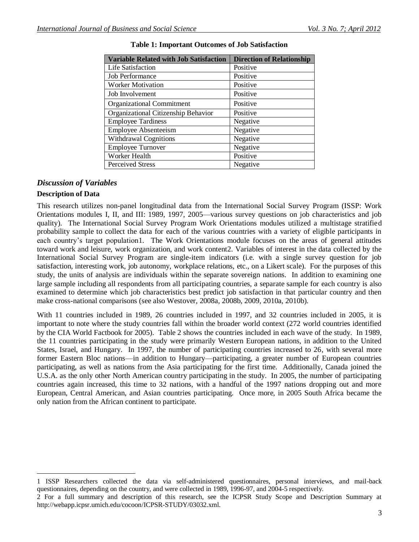| <b>Variable Related with Job Satisfaction</b> | <b>Direction of Relationship</b> |
|-----------------------------------------------|----------------------------------|
| Life Satisfaction                             | Positive                         |
| <b>Job Performance</b>                        | Positive                         |
| <b>Worker Motivation</b>                      | Positive                         |
| Job Involvement                               | Positive                         |
| <b>Organizational Commitment</b>              | Positive                         |
| Organizational Citizenship Behavior           | Positive                         |
| <b>Employee Tardiness</b>                     | Negative                         |
| <b>Employee Absenteeism</b>                   | Negative                         |
| <b>Withdrawal Cognitions</b>                  | Negative                         |
| <b>Employee Turnover</b>                      | Negative                         |
| Worker Health                                 | Positive                         |
| <b>Perceived Stress</b>                       | Negative                         |

| <b>Table 1: Important Outcomes of Job Satisfaction</b> |  |  |  |
|--------------------------------------------------------|--|--|--|
|--------------------------------------------------------|--|--|--|

## *Discussion of Variables*

## **Description of Data**

 $\overline{a}$ 

This research utilizes non-panel longitudinal data from the International Social Survey Program (ISSP: Work Orientations modules I, II, and III: 1989, 1997, 2005—various survey questions on job characteristics and job quality). The International Social Survey Program Work Orientations modules utilized a multistage stratified probability sample to collect the data for each of the various countries with a variety of eligible participants in each country's target population1. The Work Orientations module focuses on the areas of general attitudes toward work and leisure, work organization, and work content2. Variables of interest in the data collected by the International Social Survey Program are single-item indicators (i.e. with a single survey question for job satisfaction, interesting work, job autonomy, workplace relations, etc., on a Likert scale). For the purposes of this study, the units of analysis are individuals within the separate sovereign nations. In addition to examining one large sample including all respondents from all participating countries, a separate sample for each country is also examined to determine which job characteristics best predict job satisfaction in that particular country and then make cross-national comparisons (see also Westover, 2008a, 2008b, 2009, 2010a, 2010b).

With 11 countries included in 1989, 26 countries included in 1997, and 32 countries included in 2005, it is important to note where the study countries fall within the broader world context (272 world countries identified by the CIA World Factbook for 2005). Table 2 shows the countries included in each wave of the study. In 1989, the 11 countries participating in the study were primarily Western European nations, in addition to the United States, Israel, and Hungary. In 1997, the number of participating countries increased to 26, with several more former Eastern Bloc nations—in addition to Hungary—participating, a greater number of European countries participating, as well as nations from the Asia participating for the first time. Additionally, Canada joined the U.S.A. as the only other North American country participating in the study. In 2005, the number of participating countries again increased, this time to 32 nations, with a handful of the 1997 nations dropping out and more European, Central American, and Asian countries participating. Once more, in 2005 South Africa became the only nation from the African continent to participate.

<sup>1</sup> ISSP Researchers collected the data via self-administered questionnaires, personal interviews, and mail-back questionnaires, depending on the country, and were collected in 1989, 1996-97, and 2004-5 respectively.

<sup>2</sup> For a full summary and description of this research, see the ICPSR Study Scope and Description Summary at http://webapp.icpsr.umich.edu/cocoon/ICPSR-STUDY/03032.xml.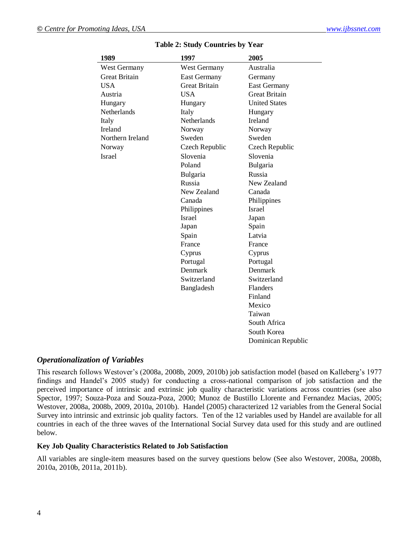| 1989                 | 1997                | 2005                  |
|----------------------|---------------------|-----------------------|
| <b>West Germany</b>  | West Germany        | Australia             |
| <b>Great Britain</b> | <b>East Germany</b> | Germany               |
| <b>USA</b>           | Great Britain       | <b>East Germany</b>   |
| Austria              | <b>USA</b>          | <b>Great Britain</b>  |
| Hungary              | Hungary             | <b>United States</b>  |
| Netherlands          | Italy               | Hungary               |
| Italy                | Netherlands         | Ireland               |
| Ireland              | Norway              | Norway                |
| Northern Ireland     | Sweden              | Sweden                |
| Norway               | Czech Republic      | <b>Czech Republic</b> |
| Israel               | Slovenia            | Slovenia              |
|                      | Poland              | Bulgaria              |
|                      | Bulgaria            | Russia                |
|                      | Russia              | New Zealand           |
|                      | New Zealand         | Canada                |
|                      | Canada              | Philippines           |
|                      | Philippines         | <b>Israel</b>         |
|                      | <b>Israel</b>       | Japan                 |
|                      | Japan               | Spain                 |
|                      | Spain               | Latvia                |
|                      | France              | France                |
|                      | Cyprus              | Cyprus                |
|                      | Portugal            | Portugal              |
|                      | Denmark             | Denmark               |
|                      | Switzerland         | Switzerland           |
|                      | Bangladesh          | <b>Flanders</b>       |
|                      |                     | Finland               |
|                      |                     | Mexico                |
|                      |                     | Taiwan                |
|                      |                     | South Africa          |
|                      |                     | South Korea           |
|                      |                     | Dominican Republic    |
|                      |                     |                       |

## **Table 2: Study Countries by Year**

#### *Operationalization of Variables*

This research follows Westover's (2008a, 2008b, 2009, 2010b) job satisfaction model (based on Kalleberg's 1977 findings and Handel's 2005 study) for conducting a cross-national comparison of job satisfaction and the perceived importance of intrinsic and extrinsic job quality characteristic variations across countries (see also Spector, 1997; Souza-Poza and Souza-Poza, 2000; Munoz de Bustillo Llorente and Fernandez Macias, 2005; Westover, 2008a, 2008b, 2009, 2010a, 2010b). Handel (2005) characterized 12 variables from the General Social Survey into intrinsic and extrinsic job quality factors. Ten of the 12 variables used by Handel are available for all countries in each of the three waves of the International Social Survey data used for this study and are outlined below.

#### **Key Job Quality Characteristics Related to Job Satisfaction**

All variables are single-item measures based on the survey questions below (See also Westover, 2008a, 2008b, 2010a, 2010b, 2011a, 2011b).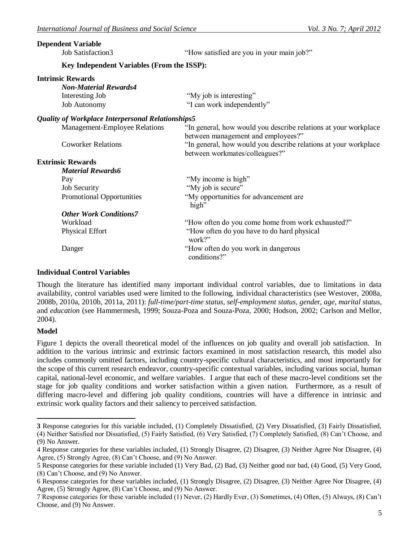| "How satisfied are you in your main job?"                                                             |  |  |  |  |  |
|-------------------------------------------------------------------------------------------------------|--|--|--|--|--|
| Key Independent Variables (From the ISSP):                                                            |  |  |  |  |  |
|                                                                                                       |  |  |  |  |  |
|                                                                                                       |  |  |  |  |  |
| "My job is interesting"                                                                               |  |  |  |  |  |
| "I can work independently"                                                                            |  |  |  |  |  |
| Quality of Workplace Interpersonal Relationships5                                                     |  |  |  |  |  |
| "In general, how would you describe relations at your workplace<br>between management and employees?" |  |  |  |  |  |
| "In general, how would you describe relations at your workplace<br>between workmates/colleagues?"     |  |  |  |  |  |
|                                                                                                       |  |  |  |  |  |
|                                                                                                       |  |  |  |  |  |
| "My income is high"                                                                                   |  |  |  |  |  |
| "My job is secure"                                                                                    |  |  |  |  |  |
| "My opportunities for advancement are<br>high"                                                        |  |  |  |  |  |
|                                                                                                       |  |  |  |  |  |
| "How often do you come home from work exhausted?"                                                     |  |  |  |  |  |
| "How often do you have to do hard physical<br>work?"                                                  |  |  |  |  |  |
| "How often do you work in dangerous<br>conditions?"                                                   |  |  |  |  |  |
|                                                                                                       |  |  |  |  |  |

#### **Individual Control Variables**

Though the literature has identified many important individual control variables, due to limitations in data availability, control variables used were limited to the following, individual characteristics (see Westover, 2008a, 2008b, 2010a, 2010b, 2011a, 2011): *full-time/part-time status, self-employment status, gende*r, *age*, *marital status*, and *education* (see Hammermesh, 1999; Souza-Poza and Souza-Poza, 2000; Hodson, 2002; Carlson and Mellor, 2004).

## **Model**

Figure 1 depicts the overall theoretical model of the influences on job quality and overall job satisfaction. In addition to the various intrinsic and extrinsic factors examined in most satisfaction research, this model also includes commonly omitted factors, including country-specific cultural characteristics, and most importantly for the scope of this current research endeavor, country-specific contextual variables, including various social, human capital, national-level economic, and welfare variables. I argue that each of these macro-level conditions set the stage for job quality conditions and worker satisfaction within a given nation. Furthermore, as a result of differing macro-level and differing job quality conditions, countries will have a difference in intrinsic and extrinsic work quality factors and their saliency to perceived satisfaction.

 $\overline{a}$ **3** Response categories for this variable included, (1) Completely Dissatisfied, (2) Very Dissatisfied, (3) Fairly Dissatisfied,

<sup>(4)</sup> Neither Satisfied nor Dissatisfied, (5) Fairly Satisfied, (6) Very Satisfied, (7) Completely Satisfied, (8) Can't Choose, and (9) No Answer.

<sup>4</sup> Response categories for these variables included, (1) Strongly Disagree, (2) Disagree, (3) Neither Agree Nor Disagree, (4) Agree, (5) Strongly Agree, (8) Can't Choose, and (9) No Answer.

<sup>5</sup> Response categories for these variable included (1) Very Bad, (2) Bad, (3) Neither good nor bad, (4) Good, (5) Very Good, (8) Can't Choose, and (9) No Answer.

<sup>6</sup> Response categories for these variables included, (1) Strongly Disagree, (2) Disagree, (3) Neither Agree Nor Disagree, (4) Agree, (5) Strongly Agree, (8) Can't Choose, and (9) No Answer.

<sup>7</sup> Response categories for these variable included (1) Never, (2) Hardly Ever, (3) Sometimes, (4) Often, (5) Always, (8) Can't Choose, and (9) No Answer.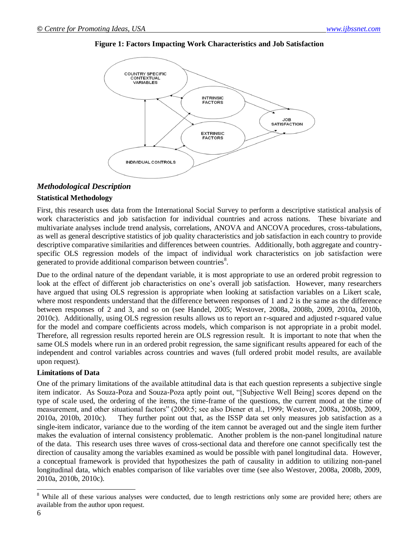

## **Figure 1: Factors Impacting Work Characteristics and Job Satisfaction**

# *Methodological Description*

## **Statistical Methodology**

First, this research uses data from the International Social Survey to perform a descriptive statistical analysis of work characteristics and job satisfaction for individual countries and across nations. These bivariate and multivariate analyses include trend analysis, correlations, ANOVA and ANCOVA procedures, cross-tabulations, as well as general descriptive statistics of job quality characteristics and job satisfaction in each country to provide descriptive comparative similarities and differences between countries. Additionally, both aggregate and countryspecific OLS regression models of the impact of individual work characteristics on job satisfaction were generated to provide additional comparison between countries<sup>8</sup>.

Due to the ordinal nature of the dependant variable, it is most appropriate to use an ordered probit regression to look at the effect of different job characteristics on one's overall job satisfaction. However, many researchers have argued that using OLS regression is appropriate when looking at satisfaction variables on a Likert scale, where most respondents understand that the difference between responses of 1 and 2 is the same as the difference between responses of 2 and 3, and so on (see Handel, 2005; Westover, 2008a, 2008b, 2009, 2010a, 2010b, 2010c). Additionally, using OLS regression results allows us to report an r-squared and adjusted r-squared value for the model and compare coefficients across models, which comparison is not appropriate in a probit model. Therefore, all regression results reported herein are OLS regression result. It is important to note that when the same OLS models where run in an ordered probit regression, the same significant results appeared for each of the independent and control variables across countries and waves (full ordered probit model results, are available upon request).

## **Limitations of Data**

One of the primary limitations of the available attitudinal data is that each question represents a subjective single item indicator. As Souza-Poza and Souza-Poza aptly point out, "[Subjective Well Being] scores depend on the type of scale used, the ordering of the items, the time-frame of the questions, the current mood at the time of measurement, and other situational factors" (2000:5; see also Diener et al., 1999; Westover, 2008a, 2008b, 2009, 2010a, 2010b, 2010c). They further point out that, as the ISSP data set only measures job satisfaction as a single-item indicator, variance due to the wording of the item cannot be averaged out and the single item further makes the evaluation of internal consistency problematic. Another problem is the non-panel longitudinal nature of the data. This research uses three waves of cross-sectional data and therefore one cannot specifically test the direction of causality among the variables examined as would be possible with panel longitudinal data. However, a conceptual framework is provided that hypothesizes the path of causality in addition to utilizing non-panel longitudinal data, which enables comparison of like variables over time (see also Westover, 2008a, 2008b, 2009, 2010a, 2010b, 2010c).

 $\overline{\phantom{a}}$ 

<sup>&</sup>lt;sup>8</sup> While all of these various analyses were conducted, due to length restrictions only some are provided here; others are available from the author upon request.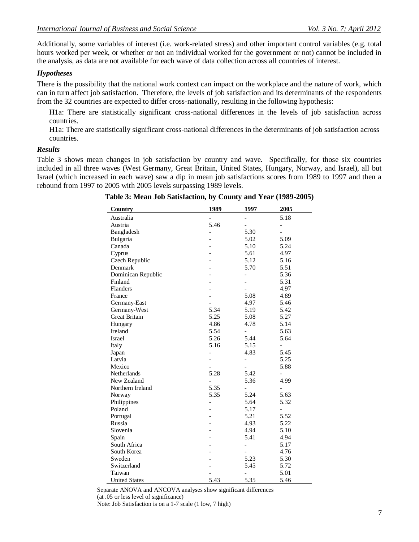Additionally, some variables of interest (i.e. work-related stress) and other important control variables (e.g. total hours worked per week, or whether or not an individual worked for the government or not) cannot be included in the analysis, as data are not available for each wave of data collection across all countries of interest.

## *Hypotheses*

There is the possibility that the national work context can impact on the workplace and the nature of work, which can in turn affect job satisfaction. Therefore, the levels of job satisfaction and its determinants of the respondents from the 32 countries are expected to differ cross-nationally, resulting in the following hypothesis:

H1a: There are statistically significant cross-national differences in the levels of job satisfaction across countries.

H1a: There are statistically significant cross-national differences in the determinants of job satisfaction across countries.

#### *Results*

Table 3 shows mean changes in job satisfaction by country and wave. Specifically, for those six countries included in all three waves (West Germany, Great Britain, United States, Hungary, Norway, and Israel), all but Israel (which increased in each wave) saw a dip in mean job satisfactions scores from 1989 to 1997 and then a rebound from 1997 to 2005 with 2005 levels surpassing 1989 levels.

| Country              | 1989                     | 1997                         | 2005                     |
|----------------------|--------------------------|------------------------------|--------------------------|
| Australia            |                          |                              | 5.18                     |
| Austria              | 5.46                     |                              | $\overline{\phantom{0}}$ |
| Bangladesh           |                          | 5.30                         |                          |
| Bulgaria             |                          | 5.02                         | 5.09                     |
| Canada               |                          | 5.10                         | 5.24                     |
| Cyprus               |                          | 5.61                         | 4.97                     |
| Czech Republic       |                          | 5.12                         | 5.16                     |
| Denmark              |                          | 5.70                         | 5.51                     |
| Dominican Republic   |                          | $\overline{a}$               | 5.36                     |
| Finland              |                          |                              | 5.31                     |
| Flanders             |                          | $\overline{a}$               | 4.97                     |
| France               |                          | 5.08                         | 4.89                     |
| Germany-East         |                          | 4.97                         | 5.46                     |
| Germany-West         | 5.34                     | 5.19                         | 5.42                     |
| <b>Great Britain</b> | 5.25                     | 5.08                         | 5.27                     |
| Hungary              | 4.86                     | 4.78                         | 5.14                     |
| Ireland              | 5.54                     | $\overline{\phantom{0}}$     | 5.63                     |
| <b>Israel</b>        | 5.26                     | 5.44                         | 5.64                     |
| Italy                | 5.16                     | 5.15                         | $\overline{\phantom{0}}$ |
| Japan                | $\overline{a}$           | 4.83                         | 5.45                     |
| Latvia               |                          | $\overline{\phantom{0}}$     | 5.25                     |
| Mexico               |                          | $\overline{\phantom{0}}$     | 5.88                     |
| Netherlands          | 5.28                     | 5.42                         |                          |
| New Zealand          |                          | 5.36                         | 4.99                     |
| Northern Ireland     | 5.35                     |                              |                          |
| Norway               | 5.35                     | 5.24                         | 5.63                     |
| Philippines          | $\overline{\phantom{0}}$ | 5.64                         | 5.32                     |
| Poland               |                          | 5.17                         |                          |
| Portugal             |                          | 5.21                         | 5.52                     |
| Russia               |                          | 4.93                         | 5.22                     |
| Slovenia             |                          | 4.94                         | 5.10                     |
| Spain                |                          | 5.41                         | 4.94                     |
| South Africa         |                          | $\qquad \qquad \blacksquare$ | 5.17                     |
| South Korea          |                          |                              | 4.76                     |
| Sweden               |                          | 5.23                         | 5.30                     |
| Switzerland          |                          | 5.45                         | 5.72                     |
| Taiwan               | $\overline{a}$           | $\overline{a}$               | 5.01                     |
| <b>United States</b> | 5.43                     | 5.35                         | 5.46                     |

## **Table 3: Mean Job Satisfaction, by County and Year (1989-2005)**

 Separate ANOVA and ANCOVA analyses show significant differences (at .05 or less level of significance) Note: Job Satisfaction is on a 1-7 scale (1 low, 7 high)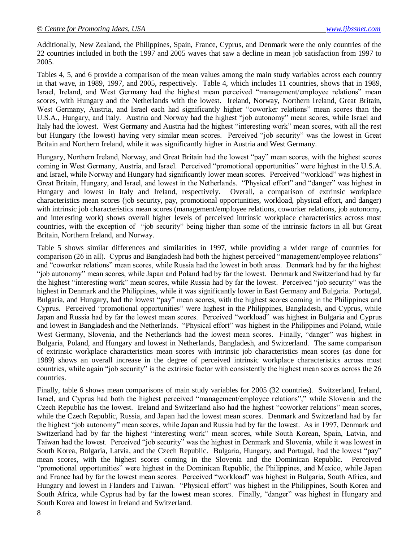Additionally, New Zealand, the Philippines, Spain, France, Cyprus, and Denmark were the only countries of the 22 countries included in both the 1997 and 2005 waves that saw a decline in mean job satisfaction from 1997 to 2005.

Tables 4, 5, and 6 provide a comparison of the mean values among the main study variables across each country in that wave, in 1989, 1997, and 2005, respectively. Table 4, which includes 11 countries, shows that in 1989, Israel, Ireland, and West Germany had the highest mean perceived "management/employee relations" mean scores, with Hungary and the Netherlands with the lowest. Ireland, Norway, Northern Ireland, Great Britain, West Germany, Austria, and Israel each had significantly higher "coworker relations" mean scores than the U.S.A., Hungary, and Italy. Austria and Norway had the highest "job autonomy" mean scores, while Israel and Italy had the lowest. West Germany and Austria had the highest "interesting work" mean scores, with all the rest but Hungary (the lowest) having very similar mean scores. Perceived "job security" was the lowest in Great Britain and Northern Ireland, while it was significantly higher in Austria and West Germany.

Hungary, Northern Ireland, Norway, and Great Britain had the lowest "pay" mean scores, with the highest scores coming in West Germany, Austria, and Israel. Perceived "promotional opportunities" were highest in the U.S.A. and Israel, while Norway and Hungary had significantly lower mean scores. Perceived "workload" was highest in Great Britain, Hungary, and Israel, and lowest in the Netherlands. "Physical effort" and "danger" was highest in Hungary and lowest in Italy and Ireland, respectively. Overall, a comparison of extrinsic workplace characteristics mean scores (job security, pay, promotional opportunities, workload, physical effort, and danger) with intrinsic job characteristics mean scores (management/employee relations, coworker relations, job autonomy, and interesting work) shows overall higher levels of perceived intrinsic workplace characteristics across most countries, with the exception of "job security" being higher than some of the intrinsic factors in all but Great Britain, Northern Ireland, and Norway.

Table 5 shows similar differences and similarities in 1997, while providing a wider range of countries for comparison (26 in all). Cyprus and Bangladesh had both the highest perceived "management/employee relations" and "coworker relations" mean scores, while Russia had the lowest in both areas. Denmark had by far the highest ―job autonomy‖ mean scores, while Japan and Poland had by far the lowest. Denmark and Switzerland had by far the highest "interesting work" mean scores, while Russia had by far the lowest. Perceived "job security" was the highest in Denmark and the Philippines, while it was significantly lower in East Germany and Bulgaria. Portugal, Bulgaria, and Hungary, had the lowest "pay" mean scores, with the highest scores coming in the Philippines and Cyprus. Perceived "promotional opportunities" were highest in the Philippines, Bangladesh, and Cyprus, while Japan and Russia had by far the lowest mean scores. Perceived "workload" was highest in Bulgaria and Cyprus and lowest in Bangladesh and the Netherlands. "Physical effort" was highest in the Philippines and Poland, while West Germany, Slovenia, and the Netherlands had the lowest mean scores. Finally, "danger" was highest in Bulgaria, Poland, and Hungary and lowest in Netherlands, Bangladesh, and Switzerland. The same comparison of extrinsic workplace characteristics mean scores with intrinsic job characteristics mean scores (as done for 1989) shows an overall increase in the degree of perceived intrinsic workplace characteristics across most countries, while again "job security" is the extrinsic factor with consistently the highest mean scores across the 26 countries.

Finally, table 6 shows mean comparisons of main study variables for 2005 (32 countries). Switzerland, Ireland, Israel, and Cyprus had both the highest perceived "management/employee relations"," while Slovenia and the Czech Republic has the lowest. Ireland and Switzerland also had the highest "coworker relations" mean scores, while the Czech Republic, Russia, and Japan had the lowest mean scores. Denmark and Switzerland had by far the highest "job autonomy" mean scores, while Japan and Russia had by far the lowest. As in 1997, Denmark and Switzerland had by far the highest "interesting work" mean scores, while South Korean, Spain, Latvia, and Taiwan had the lowest. Perceived "job security" was the highest in Denmark and Slovenia, while it was lowest in South Korea, Bulgaria, Latvia, and the Czech Republic. Bulgaria, Hungary, and Portugal, had the lowest "pay" mean scores, with the highest scores coming in the Slovenia and the Dominican Republic. Perceived ―promotional opportunities‖ were highest in the Dominican Republic, the Philippines, and Mexico, while Japan and France had by far the lowest mean scores. Perceived "workload" was highest in Bulgaria, South Africa, and Hungary and lowest in Flanders and Taiwan. "Physical effort" was highest in the Philippines, South Korea and South Africa, while Cyprus had by far the lowest mean scores. Finally, "danger" was highest in Hungary and South Korea and lowest in Ireland and Switzerland.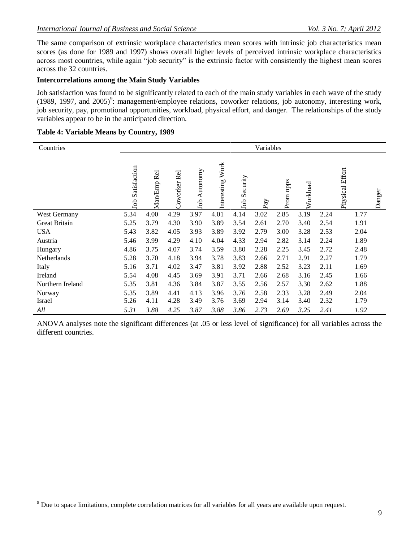The same comparison of extrinsic workplace characteristics mean scores with intrinsic job characteristics mean scores (as done for 1989 and 1997) shows overall higher levels of perceived intrinsic workplace characteristics across most countries, while again "job security" is the extrinsic factor with consistently the highest mean scores across the 32 countries.

## **Intercorrelations among the Main Study Variables**

Job satisfaction was found to be significantly related to each of the main study variables in each wave of the study (1989, 1997, and 2005)<sup>9</sup>: management/employee relations, coworker relations, job autonomy, interesting work, job security, pay, promotional opportunities, workload, physical effort, and danger. The relationships of the study variables appear to be in the anticipated direction.

## **Table 4: Variable Means by Country, 1989**

 $\overline{\phantom{a}}$ 

| Countries            |                     |             |              |                 |                     |                 | Variables |           |          |      |                 |      |        |
|----------------------|---------------------|-------------|--------------|-----------------|---------------------|-----------------|-----------|-----------|----------|------|-----------------|------|--------|
|                      | Satisfaction<br>dol | Man/Emp Rel | Coworker Rel | Autonomy<br>Job | Work<br>Interesting | Security<br>doL | Pay       | Prom opps | Workload |      | Physical Effort |      | Danger |
| West Germany         | 5.34                | 4.00        | 4.29         | 3.97            | 4.01                | 4.14            | 3.02      | 2.85      | 3.19     | 2.24 |                 | 1.77 |        |
| <b>Great Britain</b> | 5.25                | 3.79        | 4.30         | 3.90            | 3.89                | 3.54            | 2.61      | 2.70      | 3.40     | 2.54 |                 | 1.91 |        |
| <b>USA</b>           | 5.43                | 3.82        | 4.05         | 3.93            | 3.89                | 3.92            | 2.79      | 3.00      | 3.28     | 2.53 |                 | 2.04 |        |
| Austria              | 5.46                | 3.99        | 4.29         | 4.10            | 4.04                | 4.33            | 2.94      | 2.82      | 3.14     | 2.24 |                 | 1.89 |        |
| Hungary              | 4.86                | 3.75        | 4.07         | 3.74            | 3.59                | 3.80            | 2.28      | 2.25      | 3.45     | 2.72 |                 | 2.48 |        |
| Netherlands          | 5.28                | 3.70        | 4.18         | 3.94            | 3.78                | 3.83            | 2.66      | 2.71      | 2.91     | 2.27 |                 | 1.79 |        |
| Italy                | 5.16                | 3.71        | 4.02         | 3.47            | 3.81                | 3.92            | 2.88      | 2.52      | 3.23     | 2.11 |                 | 1.69 |        |
| Ireland              | 5.54                | 4.08        | 4.45         | 3.69            | 3.91                | 3.71            | 2.66      | 2.68      | 3.16     | 2.45 |                 | 1.66 |        |
| Northern Ireland     | 5.35                | 3.81        | 4.36         | 3.84            | 3.87                | 3.55            | 2.56      | 2.57      | 3.30     | 2.62 |                 | 1.88 |        |
| Norway               | 5.35                | 3.89        | 4.41         | 4.13            | 3.96                | 3.76            | 2.58      | 2.33      | 3.28     | 2.49 |                 | 2.04 |        |
| Israel               | 5.26                | 4.11        | 4.28         | 3.49            | 3.76                | 3.69            | 2.94      | 3.14      | 3.40     | 2.32 |                 | 1.79 |        |
| All                  | 5.31                | 3.88        | 4.25         | 3.87            | 3.88                | 3.86            | 2.73      | 2.69      | 3.25     | 2.41 |                 | 1.92 |        |

ANOVA analyses note the significant differences (at .05 or less level of significance) for all variables across the different countries.

<sup>&</sup>lt;sup>9</sup> Due to space limitations, complete correlation matrices for all variables for all years are available upon request.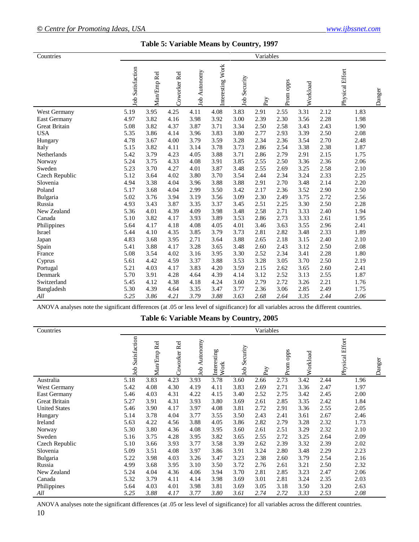| Countries           | Variables               |             |                     |              |                  |                                    |                                  |           |          |      |                 |      |        |
|---------------------|-------------------------|-------------|---------------------|--------------|------------------|------------------------------------|----------------------------------|-----------|----------|------|-----------------|------|--------|
|                     | <b>Job Satisfaction</b> | Man/Emp Rel | <b>Coworker Rel</b> | Job Autonomy | Interesting Work | Security<br>$\overline{\text{10}}$ | $\mathbb{P}\mathsf{a}\mathsf{y}$ | Prom opps | Workload |      | Physical Effort |      | Danger |
| West Germany        | 5.19                    | 3.95        | 4.25                | 4.11         | 4.08             | 3.83                               | 2.91                             | 2.55      | 3.31     | 2.12 |                 | 1.83 |        |
| <b>East Germany</b> | 4.97                    | 3.82        | 4.16                | 3.98         | 3.92             | 3.00                               | 2.39                             | 2.30      | 3.56     | 2.28 |                 | 1.98 |        |
| Great Britain       | 5.08                    | 3.82        | 4.37                | 3.87         | 3.71             | 3.34                               | 2.50                             | 2.58      | 3.43     | 2.43 |                 | 1.90 |        |
| <b>USA</b>          | 5.35                    | 3.86        | 4.14                | 3.96         | 3.83             | 3.80                               | 2.77                             | 2.93      | 3.39     | 2.50 |                 | 2.08 |        |
| Hungary             | 4.78                    | 3.67        | 4.00                | 3.79         | 3.59             | 3.28                               | 2.34                             | 2.36      | 3.54     | 2.70 |                 | 2.48 |        |
| Italy               | 5.15                    | 3.82        | 4.11                | 3.14         | 3.78             | 3.73                               | 2.86                             | 2.54      | 3.38     | 2.38 |                 | 1.87 |        |
| Netherlands         | 5.42                    | 3.79        | 4.23                | 4.05         | 3.88             | 3.71                               | 2.86                             | 2.79      | 2.91     | 2.15 |                 | 1.75 |        |
| Norway              | 5.24                    | 3.75        | 4.33                | 4.08         | 3.91             | 3.85                               | 2.55                             | 2.50      | 3.36     | 2.36 |                 | 2.06 |        |
| Sweden              | 5.23                    | 3.70        | 4.27                | 4.01         | 3.87             | 3.48                               | 2.55                             | 2.69      | 3.25     | 2.58 |                 | 2.10 |        |
| Czech Republic      | 5.12                    | 3.64        | 4.02                | 3.80         | 3.70             | 3.54                               | 2.44                             | 2.34      | 3.24     | 2.33 |                 | 2.25 |        |
| Slovenia            | 4.94                    | 3.38        | 4.04                | 3.96         | 3.88             | 3.88                               | 2.91                             | 2.70      | 3.48     | 2.14 |                 | 2.20 |        |
| Poland              | 5.17                    | 3.68        | 4.04                | 2.99         | 3.50             | 3.42                               | 2.17                             | 2.36      | 3.52     | 2.90 |                 | 2.50 |        |
| Bulgaria            | 5.02                    | 3.76        | 3.94                | 3.19         | 3.56             | 3.09                               | 2.30                             | 2.49      | 3.75     | 2.72 |                 | 2.56 |        |
| Russia              | 4.93                    | 3.43        | 3.87                | 3.35         | 3.37             | 3.45                               | 2.51                             | 2.25      | 3.30     | 2.50 |                 | 2.28 |        |
| New Zealand         | 5.36                    | 4.01        | 4.39                | 4.09         | 3.98             | 3.48                               | 2.58                             | 2.71      | 3.33     | 2.40 |                 | 1.94 |        |
| Canada              | 5.10                    | 3.82        | 4.17                | 3.93         | 3.89             | 3.53                               | 2.86                             | 2.73      | 3.33     | 2.61 |                 | 1.95 |        |
| Philippines         | 5.64                    | 4.17        | 4.18                | 4.08         | 4.05             | 4.01                               | 3.46                             | 3.63      | 3.55     | 2.96 |                 | 2.41 |        |
| Israel              | 5.44                    | 4.10        | 4.35                | 3.85         | 3.79             | 3.73                               | 2.81                             | 2.82      | 3.48     | 2.33 |                 | 1.89 |        |
| Japan               | 4.83                    | 3.68        | 3.95                | 2.71         | 3.64             | 3.88                               | 2.65                             | 2.18      | 3.15     | 2.40 |                 | 2.10 |        |
| Spain               | 5.41                    | 3.88        | 4.17                | 3.28         | 3.65             | 3.48                               | 2.60                             | 2.43      | 3.12     | 2.50 |                 | 2.08 |        |
| France              | 5.08                    | 3.54        | 4.02                | 3.16         | 3.95             | 3.30                               | 2.52                             | 2.34      | 3.41     | 2.28 |                 | 1.80 |        |
| Cyprus              | 5.61                    | 4.42        | 4.59                | 3.37         | 3.88             | 3.53                               | 3.28                             | 3.05      | 3.70     | 2.50 |                 | 2.19 |        |
| Portugal            | 5.21                    | 4.03        | 4.17                | 3.83         | 4.20             | 3.59                               | 2.15                             | 2.62      | 3.65     | 2.60 |                 | 2.41 |        |
| Denmark             | 5.70                    | 3.91        | 4.28                | 4.64         | 4.39             | 4.14                               | 3.12                             | 2.52      | 3.13     | 2.55 |                 | 1.87 |        |
| Switzerland         | 5.45                    | 4.12        | 4.38                | 4.18         | 4.24             | 3.60                               | 2.79                             | 2.72      | 3.26     | 2.21 |                 | 1.76 |        |
| Bangladesh          | 5.30                    | 4.39        | 4.64                | 3.35         | 3.47             | 3.77                               | 2.36                             | 3.06      | 2.85     | 2.49 |                 | 1.75 |        |
| All                 | 5.25                    | 3.86        | 4.21                | 3.79         | 3.88             | 3.63                               | 2.68                             | 2.64      | 3.35     | 2.44 |                 | 2.06 |        |

**Table 5: Variable Means by Country, 1997**

ANOVA analyses note the significant differences (at .05 or less level of significance) for all variables across the different countries.

**Table 6: Variable Means by Country, 2005**

| Countries            |                         |             |              |                 |                     |                     | Variables   |           |          |      |                 |      |        |
|----------------------|-------------------------|-------------|--------------|-----------------|---------------------|---------------------|-------------|-----------|----------|------|-----------------|------|--------|
|                      | <b>Job Satisfaction</b> | Man/Emp Rel | Coworker Rel | Autonomy<br>Job | Interesting<br>Work | <b>Job Security</b> | ${\rm Pay}$ | Prom opps | Workload |      | Physical Effort |      | Danger |
| Australia            | 5.18                    | 3.83        | 4.23         | 3.93            | 3.78                | 3.60                | 2.66        | 2.73      | 3.42     | 2.44 |                 | 1.96 |        |
| West Germany         | 5.42                    | 4.08        | 4.30         | 4.19            | 4.11                | 3.83                | 2.69        | 2.71      | 3.36     | 2.47 |                 | 1.97 |        |
| <b>East Germany</b>  | 5.46                    | 4.03        | 4.31         | 4.22            | 4.15                | 3.40                | 2.52        | 2.75      | 3.42     | 2.45 |                 | 2.00 |        |
| <b>Great Britain</b> | 5.27                    | 3.91        | 4.31         | 3.93            | 3.80                | 3.69                | 2.61        | 2.85      | 3.35     | 2.42 |                 | 1.84 |        |
| <b>United States</b> | 5.46                    | 3.90        | 4.17         | 3.97            | 4.08                | 3.81                | 2.72        | 2.91      | 3.36     | 2.55 |                 | 2.05 |        |
| Hungary              | 5.14                    | 3.78        | 4.04         | 3.77            | 3.55                | 3.50                | 2.43        | 2.41      | 3.61     | 2.67 |                 | 2.46 |        |
| Ireland              | 5.63                    | 4.22        | 4.56         | 3.88            | 4.05                | 3.86                | 2.82        | 2.79      | 3.28     | 2.32 |                 | 1.73 |        |
| Norway               | 5.30                    | 3.80        | 4.36         | 4.08            | 3.95                | 3.60                | 2.61        | 2.51      | 3.29     | 2.32 |                 | 2.10 |        |
| Sweden               | 5.16                    | 3.75        | 4.28         | 3.95            | 3.82                | 3.65                | 2.55        | 2.72      | 3.25     | 2.64 |                 | 2.09 |        |
| Czech Republic       | 5.10                    | 3.66        | 3.93         | 3.77            | 3.58                | 3.39                | 2.62        | 2.39      | 3.32     | 2.39 |                 | 2.02 |        |
| Slovenia             | 5.09                    | 3.51        | 4.08         | 3.97            | 3.86                | 3.91                | 3.24        | 2.80      | 3.48     | 2.29 |                 | 2.23 |        |
| Bulgaria             | 5.22                    | 3.98        | 4.03         | 3.26            | 3.47                | 3.23                | 2.38        | 2.60      | 3.79     | 2.54 |                 | 2.16 |        |
| Russia               | 4.99                    | 3.68        | 3.95         | 3.10            | 3.50                | 3.72                | 2.76        | 2.61      | 3.21     | 2.50 |                 | 2.32 |        |
| New Zealand          | 5.24                    | 4.04        | 4.36         | 4.06            | 3.94                | 3.70                | 2.81        | 2.85      | 3.23     | 2.47 |                 | 2.06 |        |
| Canada               | 5.32                    | 3.79        | 4.11         | 4.14            | 3.98                | 3.69                | 3.01        | 2.81      | 3.24     | 2.35 |                 | 2.03 |        |
| Philippines          | 5.64                    | 4.03        | 4.01         | 3.98            | 3.81                | 3.69                | 3.05        | 3.18      | 3.50     | 3.20 |                 | 2.63 |        |
| All                  | 5.25                    | 3.88        | 4.17         | 3.77            | 3.80                | 3.61                | 2.74        | 2.72      | 3.33     | 2.53 |                 | 2.08 |        |

10 ANOVA analyses note the significant differences (at .05 or less level of significance) for all variables across the different countries.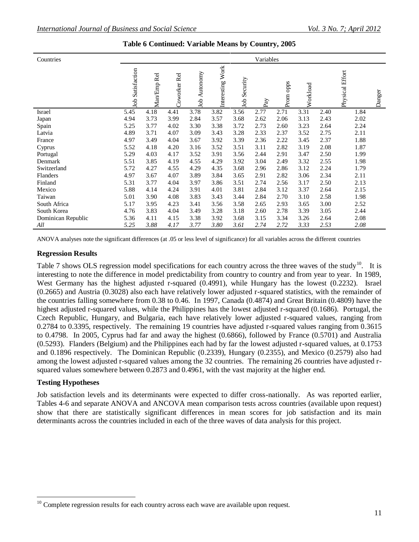| Countries          |                     |             |              |                 |                  |                 | Variables |           |          |      |                 |      |        |
|--------------------|---------------------|-------------|--------------|-----------------|------------------|-----------------|-----------|-----------|----------|------|-----------------|------|--------|
|                    | Satisfaction<br>dol | Man/Emp Rel | Coworker Rel | Autonomy<br>Job | Interesting Work | Security<br>Job | Pay       | Prom opps | Workload |      | Physical Effort |      | Danger |
| Israel             | 5.45                | 4.18        | 4.41         | 3.78            | 3.82             | 3.56            | 2.77      | 2.71      | 3.31     | 2.40 |                 | 1.84 |        |
| Japan              | 4.94                | 3.73        | 3.99         | 2.84            | 3.57             | 3.68            | 2.62      | 2.06      | 3.13     | 2.43 |                 | 2.02 |        |
| Spain              | 5.25                | 3.77        | 4.02         | 3.30            | 3.38             | 3.72            | 2.73      | 2.60      | 3.23     | 2.64 |                 | 2.24 |        |
| Latvia             | 4.89                | 3.71        | 4.07         | 3.09            | 3.43             | 3.28            | 2.33      | 2.37      | 3.52     | 2.75 |                 | 2.11 |        |
| France             | 4.97                | 3.49        | 4.04         | 3.67            | 3.92             | 3.39            | 2.36      | 2.22      | 3.45     | 2.37 |                 | 1.88 |        |
| Cyprus             | 5.52                | 4.18        | 4.20         | 3.16            | 3.52             | 3.51            | 3.11      | 2.82      | 3.19     | 2.08 |                 | 1.87 |        |
| Portugal           | 5.29                | 4.03        | 4.17         | 3.52            | 3.91             | 3.56            | 2.44      | 2.91      | 3.47     | 2.50 |                 | 1.99 |        |
| Denmark            | 5.51                | 3.85        | 4.19         | 4.55            | 4.29             | 3.92            | 3.04      | 2.49      | 3.32     | 2.55 |                 | 1.98 |        |
| Switzerland        | 5.72                | 4.27        | 4.55         | 4.29            | 4.35             | 3.68            | 2.96      | 2.86      | 3.12     | 2.24 |                 | 1.79 |        |
| Flanders           | 4.97                | 3.67        | 4.07         | 3.89            | 3.84             | 3.65            | 2.91      | 2.82      | 3.06     | 2.34 |                 | 2.11 |        |
| Finland            | 5.31                | 3.77        | 4.04         | 3.97            | 3.86             | 3.51            | 2.74      | 2.56      | 3.17     | 2.50 |                 | 2.13 |        |
| Mexico             | 5.88                | 4.14        | 4.24         | 3.91            | 4.01             | 3.81            | 2.84      | 3.12      | 3.37     | 2.64 |                 | 2.15 |        |
| Taiwan             | 5.01                | 3.90        | 4.08         | 3.83            | 3.43             | 3.44            | 2.84      | 2.70      | 3.10     | 2.58 |                 | 1.98 |        |
| South Africa       | 5.17                | 3.95        | 4.23         | 3.41            | 3.56             | 3.58            | 2.65      | 2.93      | 3.65     | 3.00 |                 | 2.52 |        |
| South Korea        | 4.76                | 3.83        | 4.04         | 3.49            | 3.28             | 3.18            | 2.60      | 2.78      | 3.39     | 3.05 |                 | 2.44 |        |
| Dominican Republic | 5.36                | 4.11        | 4.15         | 3.38            | 3.92             | 3.68            | 3.15      | 3.34      | 3.26     | 2.64 |                 | 2.08 |        |
| All                | 5.25                | 3.88        | 4.17         | 3.77            | 3.80             | 3.61            | 2.74      | 2.72      | 3.33     | 2.53 |                 | 2.08 |        |

| Table 6 Continued: Variable Means by Country, 2005 |  |  |
|----------------------------------------------------|--|--|
|----------------------------------------------------|--|--|

ANOVA analyses note the significant differences (at .05 or less level of significance) for all variables across the different countries

#### **Regression Results**

Table 7 shows OLS regression model specifications for each country across the three waves of the study<sup>10</sup>. It is interesting to note the difference in model predictability from country to country and from year to year. In 1989, West Germany has the highest adjusted r-squared (0.4991), while Hungary has the lowest (0.2232). Israel (0.2665) and Austria (0.3028) also each have relatively lower adjusted r-squared statistics, with the remainder of the countries falling somewhere from 0.38 to 0.46. In 1997, Canada (0.4874) and Great Britain (0.4809) have the highest adjusted r-squared values, while the Philippines has the lowest adjusted r-squared (0.1686). Portugal, the Czech Republic, Hungary, and Bulgaria, each have relatively lower adjusted r-squared values, ranging from 0.2784 to 0.3395, respectively. The remaining 19 countries have adjusted r-squared values ranging from 0.3615 to 0.4798. In 2005, Cyprus had far and away the highest (0.6866), followed by France (0.5701) and Australia (0.5293). Flanders (Belgium) and the Philippines each had by far the lowest adjusted r-squared values, at 0.1753 and 0.1896 respectively. The Dominican Republic (0.2339), Hungary (0.2355), and Mexico (0.2579) also had among the lowest adjusted r-squared values among the 32 countries. The remaining 26 countries have adjusted rsquared values somewhere between 0.2873 and 0.4961, with the vast majority at the higher end.

## **Testing Hypotheses**

 $\overline{\phantom{a}}$ 

Job satisfaction levels and its determinants were expected to differ cross-nationally. As was reported earlier, Tables 4-6 and separate ANOVA and ANCOVA mean comparison tests across countries (available upon request) show that there are statistically significant differences in mean scores for job satisfaction and its main determinants across the countries included in each of the three waves of data analysis for this project.

 $10$  Complete regression results for each country across each wave are available upon request.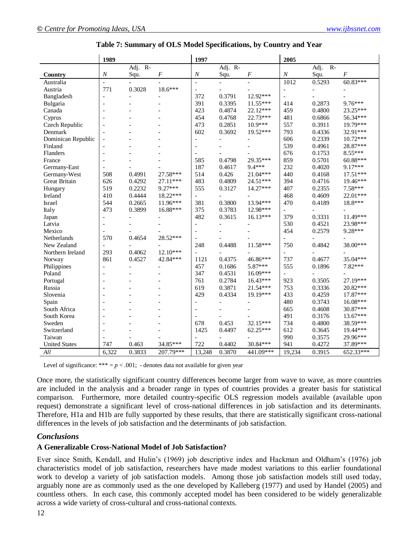| Table 7: Summary of OLS Model Specifications, by Country and Year |  |  |
|-------------------------------------------------------------------|--|--|
|                                                                   |  |  |

|                      | 1989                     |         |                          | 1997                     |         |                  | 2005                     |               |            |
|----------------------|--------------------------|---------|--------------------------|--------------------------|---------|------------------|--------------------------|---------------|------------|
|                      |                          | Adj. R- |                          |                          | Adj. R- |                  |                          | $R -$<br>Adj. |            |
| Country              | $\boldsymbol{N}$         | Squ.    | $\cal F$                 | $\boldsymbol{N}$         | Squ.    | $\boldsymbol{F}$ | $\cal N$                 | Squ.          | $\cal F$   |
| Australia            |                          |         |                          | $\qquad \qquad -$        |         |                  | 1012                     | 0.5293        | $60.83***$ |
| Austria              | 771                      | 0.3028  | $18.6***$                | $\overline{\phantom{0}}$ |         |                  |                          |               |            |
| Bangladesh           | $\overline{a}$           |         |                          | 372                      | 0.3791  | 12.92***         | $\overline{a}$           |               |            |
| Bulgaria             | $\overline{\phantom{a}}$ |         |                          | 391                      | 0.3395  | $11.55***$       | 414                      | 0.2873        | $9.76***$  |
| Canada               |                          |         |                          | 423                      | 0.4874  | 22.12***         | 459                      | 0.4800        | 23.25***   |
| Cyprus               |                          |         |                          | 454                      | 0.4768  | 22.73***         | 481                      | 0.6866        | 56.34***   |
| Czech Republic       | $\overline{a}$           |         |                          | 473                      | 0.2851  | $10.9***$        | 557                      | 0.3911        | 19.79***   |
| Denmark              | $\overline{\phantom{a}}$ |         |                          | 602                      | 0.3692  | 19.52***         | 793                      | 0.4336        | 32.91***   |
| Dominican Republic   | $\qquad \qquad -$        |         |                          |                          |         |                  | 606                      | 0.2339        | $10.72***$ |
| Finland              | $\overline{a}$           |         |                          |                          |         |                  | 539                      | 0.4961        | 28.87***   |
| Flanders             | $\overline{\phantom{a}}$ |         |                          |                          |         |                  | 676                      | 0.1753        | $8.55***$  |
| France               | $\overline{a}$           |         |                          | 585                      | 0.4798  | 29.35***         | 859                      | 0.5701        | 60.88***   |
| Germany-East         | $\overline{\phantom{0}}$ |         |                          | 187                      | 0.4617  | 9.4***           | 232                      | 0.4020        | 9.17***    |
| Germany-West         | 508                      | 0.4991  | 27.58***                 | 514                      | 0.426   | $21.04***$       | 440                      | 0.4168        | 17.51***   |
| Great Britain        | 626                      | 0.4292  | 27.11***                 | 483                      | 0.4809  | 24.51***         | 394                      | 0.4716        | 19.46***   |
| Hungary              | 519                      | 0.2232  | $9.27***$                | 555                      | 0.3127  | 14.27***         | 407                      | 0.2355        | $7.58***$  |
| Ireland              | 410                      | 0.4444  | 18.22***                 |                          |         |                  | 468                      | 0.4609        | 22.01***   |
| Israel               | 544                      | 0.2665  | $11.96***$               | 381                      | 0.3800  | 13.94***         | 470                      | 0.4189        | 18.8***    |
| Italy                | 473                      | 0.3899  | 16.88***                 | 375                      | 0.3783  | 12.98***         |                          |               |            |
| Japan                |                          |         | $\overline{\phantom{0}}$ | 482                      | 0.3615  | $16.13***$       | 379                      | 0.3331        | 11.49***   |
| Latvia               | $\overline{a}$           |         |                          | $\overline{a}$           |         |                  | 530                      | 0.4521        | 23.98***   |
| Mexico               |                          |         |                          |                          |         |                  | 454                      | 0.2579        | 9.28***    |
| Netherlands          | 570                      | 0.4654  | 28.52***                 |                          |         |                  |                          |               |            |
| New Zealand          |                          |         |                          | 248                      | 0.4488  | 11.58***         | 750                      | 0.4842        | 38.00***   |
| Northern Ireland     | 293                      | 0.4062  | $12.10***$               |                          |         |                  |                          |               |            |
| Norway               | 861                      | 0.4527  | 42.84***                 | 1121                     | 0.4375  | 46.86***         | 737                      | 0.4677        | 35.04***   |
| Philippines          |                          |         | $\overline{a}$           | 457                      | 0.1686  | $5.87***$        | 555                      | 0.1896        | 7.82***    |
| Poland               | $\overline{\phantom{a}}$ |         | $\overline{a}$           | 347                      | 0.4531  | $16.09***$       | $\overline{\phantom{0}}$ |               |            |
| Portugal             | $\overline{\phantom{a}}$ |         |                          | 761                      | 0.2784  | $16.43***$       | 923                      | 0.3505        | 27.19***   |
| Russia               | $\overline{\phantom{a}}$ |         |                          | 619                      | 0.3871  | $21.54***$       | 753                      | 0.3336        | 20.82***   |
| Slovenia             | $\overline{\phantom{a}}$ |         |                          | 429                      | 0.4334  | 19.19***         | 433                      | 0.4259        | 17.87***   |
| Spain                | $\overline{\phantom{a}}$ |         |                          |                          |         |                  | 480                      | 0.3743        | 16.08***   |
| South Africa         | $\overline{\phantom{a}}$ |         |                          | $\overline{a}$           |         |                  | 665                      | 0.4608        | 30.87***   |
| South Korea          | $\overline{\phantom{a}}$ |         |                          |                          |         |                  | 491                      | 0.3176        | 13.67***   |
| Sweden               | $\overline{\phantom{a}}$ |         |                          | 678                      | 0.453   | 32.15***         | 734                      | 0.4800        | 38.59***   |
| Switzerland          | $\overline{\phantom{a}}$ |         |                          | 1425                     | 0.4497  | 62.25***         | 612                      | 0.3645        | 19.44***   |
| Taiwan               |                          |         |                          | $\overline{a}$           |         |                  | 990                      | 0.3575        | 29.96***   |
| <b>United States</b> | 747                      | 0.463   | 34.85***                 | 722                      | 0.4402  | 30.84***         | 941                      | 0.4272        | 37.89***   |
| All                  | 6,322                    | 0.3833  | 207.79***                | 13,248                   | 0.3870  | 441.09***        | 19,234                   | 0.3915        | 652.33***  |

Level of significance:  $*** = p < .001$ ; - denotes data not available for given year

Once more, the statistically significant country differences become larger from wave to wave, as more countries are included in the analysis and a broader range in types of countries provides a greater basis for statistical comparison. Furthermore, more detailed country-specific OLS regression models available (available upon request) demonstrate a significant level of cross-national differences in job satisfaction and its determinants. Therefore, H1a and H1b are fully supported by these results, that there are statistically significant cross-national differences in the levels of job satisfaction and the determinants of job satisfaction.

## *Conclusions*

#### **A Generalizable Cross-National Model of Job Satisfaction?**

Ever since Smith, Kendall, and Hulin's (1969) job descriptive index and Hackman and Oldham's (1976) job characteristics model of job satisfaction, researchers have made modest variations to this earlier foundational work to develop a variety of job satisfaction models. Among those job satisfaction models still used today, arguably none are as commonly used as the one developed by Kalleberg (1977) and used by Handel (2005) and countless others. In each case, this commonly accepted model has been considered to be widely generalizable across a wide variety of cross-cultural and cross-national contexts.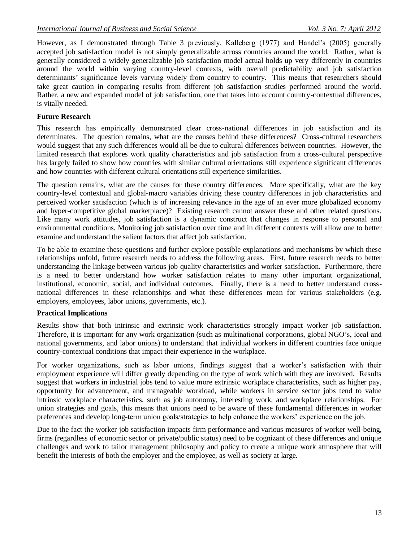However, as I demonstrated through Table 3 previously, Kalleberg (1977) and Handel's (2005) generally accepted job satisfaction model is not simply generalizable across countries around the world. Rather, what is generally considered a widely generalizable job satisfaction model actual holds up very differently in countries around the world within varying country-level contexts, with overall predictability and job satisfaction determinants' significance levels varying widely from country to country. This means that researchers should take great caution in comparing results from different job satisfaction studies performed around the world. Rather, a new and expanded model of job satisfaction, one that takes into account country-contextual differences, is vitally needed.

## **Future Research**

This research has empirically demonstrated clear cross-national differences in job satisfaction and its determinates. The question remains, what are the causes behind these differences? Cross-cultural researchers would suggest that any such differences would all be due to cultural differences between countries. However, the limited research that explores work quality characteristics and job satisfaction from a cross-cultural perspective has largely failed to show how countries with similar cultural orientations still experience significant differences and how countries with different cultural orientations still experience similarities.

The question remains, what are the causes for these country differences. More specifically, what are the key country-level contextual and global-macro variables driving these country differences in job characteristics and perceived worker satisfaction (which is of increasing relevance in the age of an ever more globalized economy and hyper-competitive global marketplace)? Existing research cannot answer these and other related questions. Like many work attitudes, job satisfaction is a dynamic construct that changes in response to personal and environmental conditions. Monitoring job satisfaction over time and in different contexts will allow one to better examine and understand the salient factors that affect job satisfaction.

To be able to examine these questions and further explore possible explanations and mechanisms by which these relationships unfold, future research needs to address the following areas. First, future research needs to better understanding the linkage between various job quality characteristics and worker satisfaction. Furthermore, there is a need to better understand how worker satisfaction relates to many other important organizational, institutional, economic, social, and individual outcomes. Finally, there is a need to better understand crossnational differences in these relationships and what these differences mean for various stakeholders (e.g. employers, employees, labor unions, governments, etc.).

#### **Practical Implications**

Results show that both intrinsic and extrinsic work characteristics strongly impact worker job satisfaction. Therefore, it is important for any work organization (such as multinational corporations, global NGO's, local and national governments, and labor unions) to understand that individual workers in different countries face unique country-contextual conditions that impact their experience in the workplace.

For worker organizations, such as labor unions, findings suggest that a worker's satisfaction with their employment experience will differ greatly depending on the type of work which with they are involved. Results suggest that workers in industrial jobs tend to value more extrinsic workplace characteristics, such as higher pay, opportunity for advancement, and manageable workload, while workers in service sector jobs tend to value intrinsic workplace characteristics, such as job autonomy, interesting work, and workplace relationships. For union strategies and goals, this means that unions need to be aware of these fundamental differences in worker preferences and develop long-term union goals/strategies to help enhance the workers' experience on the job.

Due to the fact the worker job satisfaction impacts firm performance and various measures of worker well-being, firms (regardless of economic sector or private/public status) need to be cognizant of these differences and unique challenges and work to tailor management philosophy and policy to create a unique work atmosphere that will benefit the interests of both the employer and the employee, as well as society at large.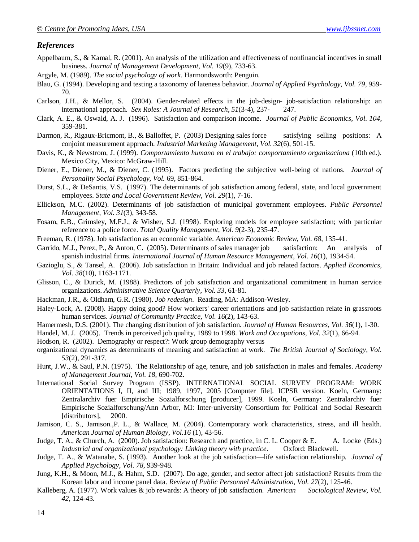#### *References*

- Appelbaum, S., & Kamal, R. (2001). An analysis of the utilization and effectiveness of nonfinancial incentives in small business. *Journal of Management Development, Vol. 19*(9), 733-63.
- Argyle, M. (1989). *The social psychology of work.* Harmondsworth: Penguin.
- Blau, G. (1994). Developing and testing a taxonomy of lateness behavior. *Journal of Applied Psychology, Vol. 79*, 959- 70.
- Carlson, J.H., & Mellor, S. (2004). Gender-related effects in the job-design- job-satisfaction relationship: an international approach. *Sex Roles: A Journal of Research*, *51*(3-4), 237- 247.
- Clark, A. E., & Oswald, A. J. (1996). Satisfaction and comparison income. *Journal of Public Economics, Vol. 104*, 359-381.
- Darmon, R., Rigaux-Bricmont, B., & Balloffet, P. (2003) Designing sales force satisfying selling positions: A conjoint measurement approach. *Industrial Marketing Management, Vol. 32*(6), 501-15.
- Davis, K., & Newstrom, J. (1999). *Comportamiento humano en el trabajo: comportamiento organizaciona* (10th ed.). Mexico City, Mexico: McGraw-Hill.
- Diener, E., Diener, M., & Diener, C. (1995). Factors predicting the subjective well-being of nations. *Journal of Personality Social Psychology, Vol.* 69, 851-864.
- Durst, S.L., & DeSantis, V.S. (1997). The determinants of job satisfaction among federal, state, and local government employees. *State and Local Government Review*, *Vol. 29*(1), 7-16.
- Ellickson, M.C. (2002). Determinants of job satisfaction of municipal government employees. *Public Personnel Management, Vol. 31*(3), 343-58.
- Fosam, E.B., Grimsley, M.F.J., & Wisher, S.J. (1998). Exploring models for employee satisfaction; with particular reference to a police force. *Total Quality Management*, *Vol. 9*(2-3), 235-47.
- Freeman, R. (1978). Job satisfaction as an economic variable. *American Economic Review, Vol. 68*, 135-41.
- Garrido, M.J., Perez, P., & Anton, C. (2005). Determinants of sales manager job satisfaction: An analysis of spanish industrial firms. *International Journal of Human Resource Management*, *Vol. 16*(1), 1934-54.
- Gazioglu, S., & Tansel, A. (2006). Job satisfaction in Britain: Individual and job related factors. *Applied Economics*, *Vol. 38*(10), 1163-1171.
- Glisson, C., & Durick, M. (1988). Predictors of job satisfaction and organizational commitment in human service organizations. *Administrative Science Quarterly, Vol. 33,* 61-81.
- Hackman, J.R., & Oldham, G.R. (1980). *Job redesign*. Reading, MA: Addison-Wesley.
- Haley-Lock, A. (2008). Happy doing good? How workers' career orientations and job satisfaction relate in grassroots human services. *Journal of Community Practice, Vol. 16*(2), 143-63.
- Hamermesh, D.S. (2001). The changing distribution of job satisfaction. *Journal of Human Resources, Vol. 36*(1), 1-30.
- Handel, M. J. (2005). Trends in perceived job quality, 1989 to 1998. *Work and Occupations, Vol. 32*(1), 66-94.
- Hodson, R. (2002). Demography or respect?: Work group demography versus
- organizational dynamics as determinants of meaning and satisfaction at work. *The British Journal of Sociology, Vol. 53*(2), 291-317.
- Hunt, J.W., & Saul, P.N. (1975). The Relationship of age, tenure, and job satisfaction in males and females. *Academy of Management Journal, Vol. 18*, 690-702.
- International Social Survey Program (ISSP). INTERNATIONAL SOCIAL SURVEY PROGRAM: WORK ORIENTATIONS I, II, and III; 1989, 1997, 2005 [Computer file]. ICPSR version. Koeln, Germany: Zentralarchiv fuer Empirische Sozialforschung [producer], 1999. Koeln, Germany: Zentralarchiv fuer Empirische Sozialforschung/Ann Arbor, MI: Inter-university Consortium for Political and Social Research [distributors], 2000.
- Jamison, C. S., Jamison.,P. L., & Wallace, M. (2004). Contemporary work characteristics, stress, and ill health. *American Journal of Human Biology*, *Vol.16* (1), 43-56.
- Judge, T. A., & Church, A. (2000). Job satisfaction: Research and practice, in C. L. Cooper & E. A. Locke (Eds.) *Industrial and organizational psychology: Linking theory with practice*. Oxford: Blackwell.
- Judge, T. A., & Watanabe, S. (1993). Another look at the job satisfaction—life satisfaction relationship. *Journal of Applied Psychology*, *Vol. 78*, 939-948.
- Jung, K.H., & Moon, M.J., & Hahm, S.D. (2007). Do age, gender, and sector affect job satisfaction? Results from the Korean labor and income panel data. *Review of Public Personnel Administration, Vol. 27*(2), 125-46.
- Kalleberg, A. (1977). Work values & job rewards: A theory of job satisfaction. *American Sociological Review, Vol. 42*, 124-43.